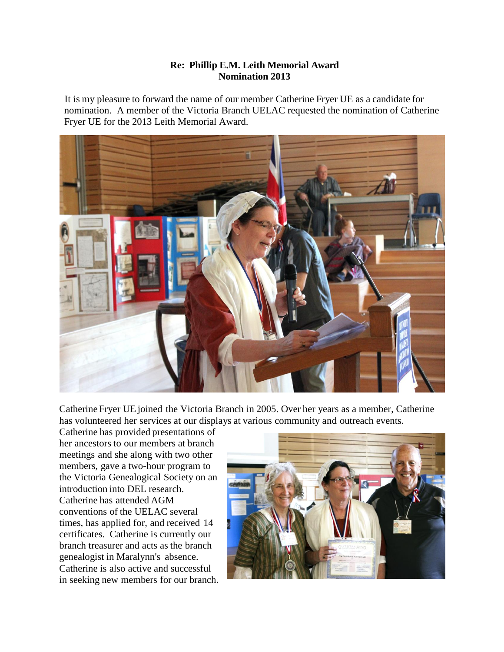## **Re: Phillip E.M. Leith Memorial Award Nomination 2013**

It is my pleasure to forward the name of our member Catherine Fryer UE as a candidate for nomination. A member of the Victoria Branch UELAC requested the nomination of Catherine Fryer UE for the 2013 Leith Memorial Award.



Catherine Fryer UE joined the Victoria Branch in 2005. Over her years as a member, Catherine has volunteered her services at our displays at various community and outreach events.

Catherine has provided presentations of her ancestors to our members at branch meetings and she along with two other members, gave a two-hour program to the Victoria Genealogical Society on an introduction into DEL research. Catherine has attended AGM conventions of the UELAC several times, has applied for, and received 14 certificates. Catherine is currently our branch treasurer and acts as the branch genealogist in Maralynn's absence. Catherine is also active and successful in seeking new members for our branch.